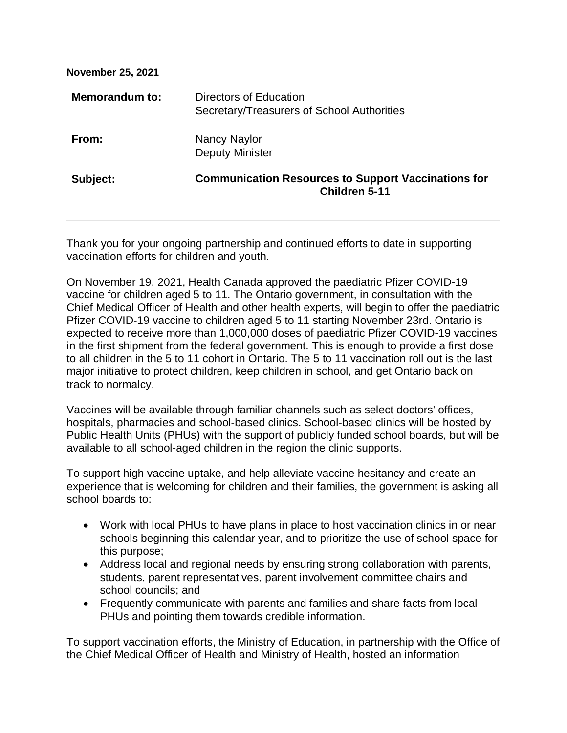| <b>November 25, 2021</b> |                                                                                    |
|--------------------------|------------------------------------------------------------------------------------|
| <b>Memorandum to:</b>    | Directors of Education<br>Secretary/Treasurers of School Authorities               |
| From:                    | Nancy Naylor<br><b>Deputy Minister</b>                                             |
| Subject:                 | <b>Communication Resources to Support Vaccinations for</b><br><b>Children 5-11</b> |
|                          |                                                                                    |

Thank you for your ongoing partnership and continued efforts to date in supporting vaccination efforts for children and youth.

On November 19, 2021, Health Canada approved the paediatric Pfizer COVID-19 vaccine for children aged 5 to 11. The Ontario government, in consultation with the Chief Medical Officer of Health and other health experts, will begin to offer the paediatric Pfizer COVID-19 vaccine to children aged 5 to 11 starting November 23rd. Ontario is expected to receive more than 1,000,000 doses of paediatric Pfizer COVID-19 vaccines in the first shipment from the federal government. This is enough to provide a first dose to all children in the 5 to 11 cohort in Ontario. The 5 to 11 vaccination roll out is the last major initiative to protect children, keep children in school, and get Ontario back on track to normalcy.

Vaccines will be available through familiar channels such as select doctors' offices, hospitals, pharmacies and school-based clinics. School-based clinics will be hosted by Public Health Units (PHUs) with the support of publicly funded school boards, but will be available to all school-aged children in the region the clinic supports.

To support high vaccine uptake, and help alleviate vaccine hesitancy and create an experience that is welcoming for children and their families, the government is asking all school boards to:

- Work with local PHUs to have plans in place to host vaccination clinics in or near schools beginning this calendar year, and to prioritize the use of school space for this purpose;
- Address local and regional needs by ensuring strong collaboration with parents, students, parent representatives, parent involvement committee chairs and school councils; and
- Frequently communicate with parents and families and share facts from local PHUs and pointing them towards credible information.

To support vaccination efforts, the Ministry of Education, in partnership with the Office of the Chief Medical Officer of Health and Ministry of Health, hosted an information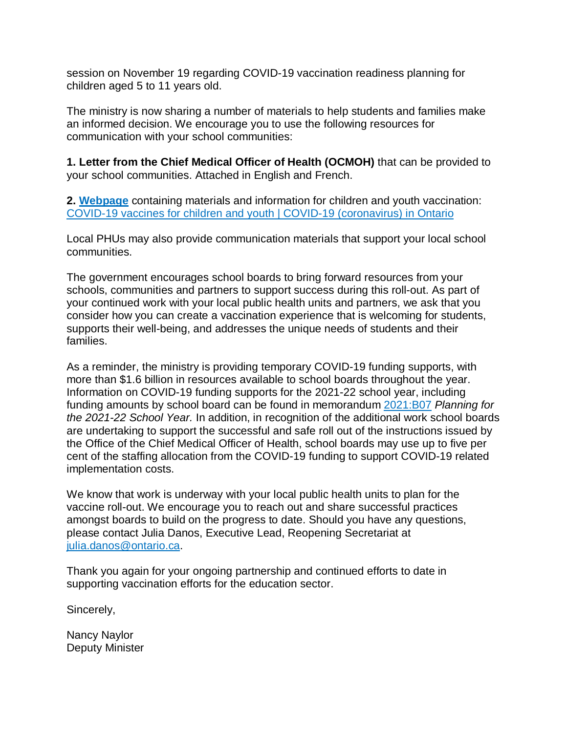session on November 19 regarding COVID-19 vaccination readiness planning for children aged 5 to 11 years old.

The ministry is now sharing a number of materials to help students and families make an informed decision. We encourage you to use the following resources for communication with your school communities:

**1. Letter from the Chief Medical Officer of Health (OCMOH)** that can be provided to your school communities. Attached in English and French.

**2. [Webpage](https://covid-19.ontario.ca/covid-19-vaccines-children-and-youth)** containing materials and information for children and youth vaccination: [COVID-19 vaccines for children and youth | COVID-19 \(coronavirus\) in Ontario](https://covid-19.ontario.ca/covid-19-vaccines-children-and-youth)

Local PHUs may also provide communication materials that support your local school communities.

The government encourages school boards to bring forward resources from your schools, communities and partners to support success during this roll-out. As part of your continued work with your local public health units and partners, we ask that you consider how you can create a vaccination experience that is welcoming for students, supports their well-being, and addresses the unique needs of students and their families.

As a reminder, the ministry is providing temporary COVID-19 funding supports, with more than \$1.6 billion in resources available to school boards throughout the year. Information on COVID-19 funding supports for the 2021-22 school year, including funding amounts by school board can be found in memorandum [2021:B07](https://efis.fma.csc.gov.on.ca/faab/Memos/B2021/B07_EN.pdf) *Planning for the 2021-22 School Year.* In addition, in recognition of the additional work school boards are undertaking to support the successful and safe roll out of the instructions issued by the Office of the Chief Medical Officer of Health, school boards may use up to five per cent of the staffing allocation from the COVID-19 funding to support COVID-19 related implementation costs.

We know that work is underway with your local public health units to plan for the vaccine roll-out. We encourage you to reach out and share successful practices amongst boards to build on the progress to date. Should you have any questions, please contact Julia Danos, Executive Lead, Reopening Secretariat at [julia.danos@ontario.ca.](mailto:julia.danos@ontario.ca)

Thank you again for your ongoing partnership and continued efforts to date in supporting vaccination efforts for the education sector.

Sincerely,

Nancy Naylor Deputy Minister